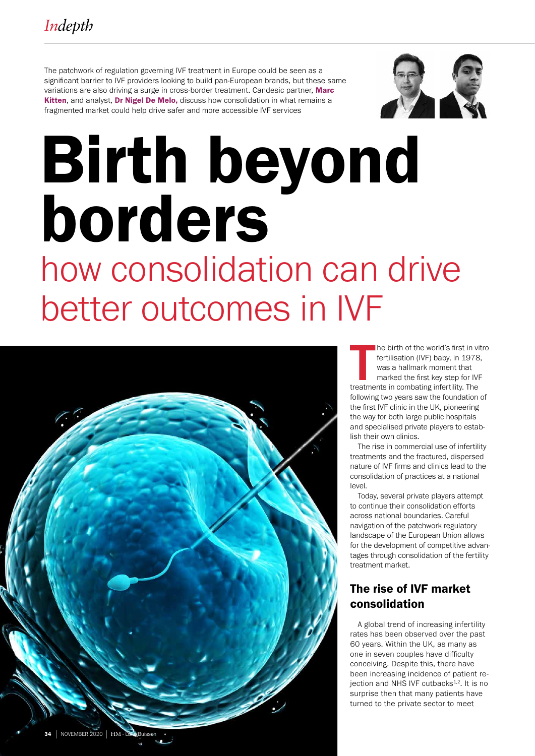The patchwork of regulation governing IVF treatment in Europe could be seen as a significant barrier to IVF providers looking to build pan-European brands, but these same variations are also driving a surge in cross-border treatment. Candesic partner, Marc Kitten, and analyst, Dr Nigel De Melo, discuss how consolidation in what remains a fragmented market could help drive safer and more accessible IVF services



# Birth beyond borders how consolidation can drive better outcomes in IVF



The birth of the world's first in viertilisation (IVF) baby, in 1978<br>was a hallmark moment that<br>marked the first key step for IVI<br>treatments in combating infertility. The he birth of the world's first in vitro fertilisation (IVF) baby, in 1978, was a hallmark moment that marked the first key step for IVF following two years saw the foundation of the first IVF clinic in the UK, pioneering the way for both large public hospitals and specialised private players to establish their own clinics.

The rise in commercial use of infertility treatments and the fractured, dispersed nature of IVF firms and clinics lead to the consolidation of practices at a national level.

Today, several private players attempt to continue their consolidation efforts across national boundaries. Careful navigation of the patchwork regulatory landscape of the European Union allows for the development of competitive advantages through consolidation of the fertility treatment market.

# The rise of IVF market consolidation

A global trend of increasing infertility rates has been observed over the past 60 years. Within the UK, as many as one in seven couples have difficulty conceiving. Despite this, there have been increasing incidence of patient reiection and NHS IVF cutbacks $4.2$ . It is no surprise then that many patients have turned to the private sector to meet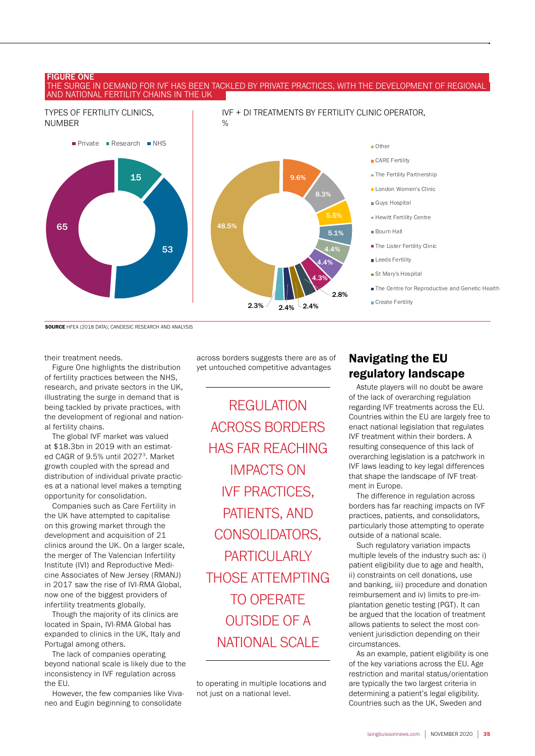#### FIGURE ONE

#### THE SURGE IN DEMAND FOR IVF HAS BEEN TACKLED BY PRIVATE PRACTICES, WITH THE DEVELOPMENT OF REGIONAL AND NATIONAL FERTILITY CHAINS IN THE UK



SOURCE HFEA (2018 DATA); CANDESIC RESEARCH AND ANALYSIS

their treatment needs.

Figure One highlights the distribution of fertility practices between the NHS, research, and private sectors in the UK, illustrating the surge in demand that is being tackled by private practices, with the development of regional and national fertility chains.

The global IVF market was valued at \$18.3bn in 2019 with an estimated CAGR of 9.5% until 2027<sup>3</sup>. Market growth coupled with the spread and distribution of individual private practices at a national level makes a tempting opportunity for consolidation.

Companies such as Care Fertility in the UK have attempted to capitalise on this growing market through the development and acquisition of 21 clinics around the UK. On a larger scale, the merger of The Valencian Infertility Institute (IVI) and Reproductive Medicine Associates of New Jersey (RMANJ) in 2017 saw the rise of IVI-RMA Global, now one of the biggest providers of infertility treatments globally.

Though the majority of its clinics are located in Spain, IVI-RMA Global has expanded to clinics in the UK, Italy and Portugal among others.

The lack of companies operating beyond national scale is likely due to the inconsistency in IVF regulation across the EU.

However, the few companies like Vivaneo and Eugin beginning to consolidate

across borders suggests there are as of yet untouched competitive advantages

REGULATION ACROSS BORDERS HAS FAR REACHING IMPACTS ON IVF PRACTICES, PATIENTS, AND CONSOLIDATORS, PARTICULARIY THOSE ATTEMPTING TO OPERATE OUTSIDE OF A NATIONAL SCALE

to operating in multiple locations and not just on a national level.

## Navigating the EU regulatory landscape

Astute players will no doubt be aware of the lack of overarching regulation regarding IVF treatments across the EU. Countries within the EU are largely free to enact national legislation that regulates IVF treatment within their borders. A resulting consequence of this lack of overarching legislation is a patchwork in IVF laws leading to key legal differences that shape the landscape of IVF treatment in Europe.

The difference in regulation across borders has far reaching impacts on IVF practices, patients, and consolidators, particularly those attempting to operate outside of a national scale.

Such regulatory variation impacts multiple levels of the industry such as: i) patient eligibility due to age and health, ii) constraints on cell donations, use and banking, iii) procedure and donation reimbursement and iv) limits to pre-implantation genetic testing (PGT). It can be argued that the location of treatment allows patients to select the most convenient jurisdiction depending on their circumstances.

As an example, patient eligibility is one of the key variations across the EU. Age restriction and marital status/orientation are typically the two largest criteria in determining a patient's legal eligibility. Countries such as the UK, Sweden and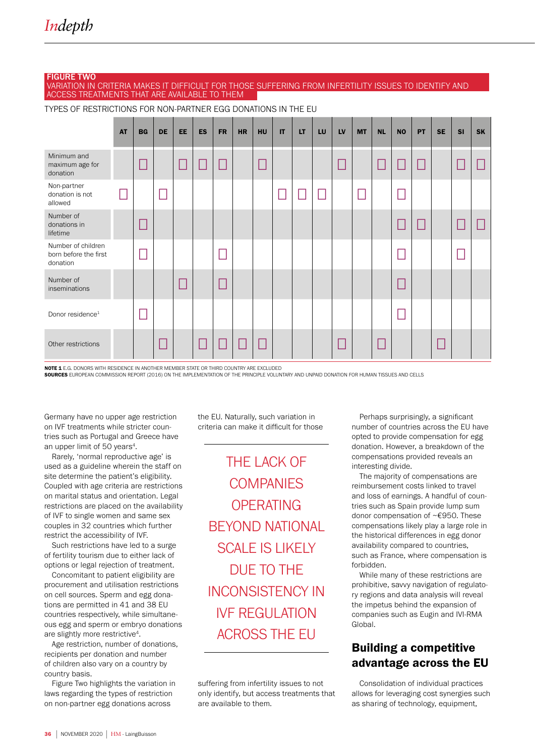## FIGURE TWO

VARIATION IN CRITERIA MAKES IT DIFFICULT FOR THOSE SUFFERING FROM INFERTILITY ISSUES TO IDENTIFY AND ACCESS TREATMENTS THAT ARE AVAILABLE TO THEM

AT | BG | DE | EE | ES | FR | HR | HU | IT | LT | LU | LV | MT | NL | NO | PT | SE | SI | SK Minimum and maximum age for donation □ □ □ □ □ □ □ □ □ □ □ Non-partner donation is not allowed □ □ □ | | | | □ □□ □ |□ |□ Number of donations in lifetime □ □ □ □ □ Number of children born before the first donation □ □ □ □ Number of<br>inseminations inseminations □ □ □ Donor residence<sup>1</sup> □ □ Other restrictions □ □ □ □ □ □ □ □

TYPES OF RESTRICTIONS FOR NON-PARTNER EGG DONATIONS IN THE EU

NOTE 1 E.G. DONORS WITH RESIDENCE IN ANOTHER MEMBER STATE OR THIRD COUNTRY ARE EXCLUDED

SOURCES EUROPEAN COMMISSION REPORT (2016) ON THE IMPLEMENTATION OF THE PRINCIPLE VOLUNTARY AND UNPAID DONATION FOR HUMAN TISSUES AND CELLS

Germany have no upper age restriction on IVF treatments while stricter countries such as Portugal and Greece have an upper limit of 50 years<sup>4</sup>.

Rarely, 'normal reproductive age' is used as a guideline wherein the staff on site determine the patient's eligibility. Coupled with age criteria are restrictions on marital status and orientation. Legal restrictions are placed on the availability of IVF to single women and same sex couples in 32 countries which further restrict the accessibility of IVF.

Such restrictions have led to a surge of fertility tourism due to either lack of options or legal rejection of treatment.

Concomitant to patient eligibility are procurement and utilisation restrictions on cell sources. Sperm and egg donations are permitted in 41 and 38 EU countries respectively, while simultaneous egg and sperm or embryo donations are slightly more restrictive<sup>4</sup>.

Age restriction, number of donations, recipients per donation and number of children also vary on a country by country basis.

Figure Two highlights the variation in laws regarding the types of restriction on non-partner egg donations across

the EU. Naturally, such variation in criteria can make it difficult for those

THE LACK OF **COMPANIES OPFRATING** BEYOND NATIONAL SCALE IS LIKELY DUE TO THE INCONSISTENCY IN IVF REGULATION ACROSS THE EU

suffering from infertility issues to not only identify, but access treatments that are available to them.

Perhaps surprisingly, a significant number of countries across the EU have opted to provide compensation for egg donation. However, a breakdown of the compensations provided reveals an interesting divide.

The majority of compensations are reimbursement costs linked to travel and loss of earnings. A handful of countries such as Spain provide lump sum donor compensation of ~€950. These compensations likely play a large role in the historical differences in egg donor availability compared to countries, such as France, where compensation is forbidden.

While many of these restrictions are prohibitive, savvy navigation of regulatory regions and data analysis will reveal the impetus behind the expansion of companies such as Eugin and IVI-RMA Global

## Building a competitive advantage across the EU

Consolidation of individual practices allows for leveraging cost synergies such as sharing of technology, equipment,